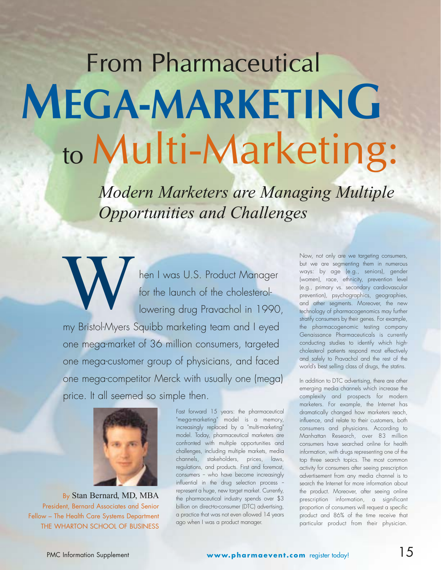## From Pharmaceutical **MEGA-MARKETING** to Multi-Marketing:

*Modern Marketers are Managing Multiple Opportunities and Challenges* 

hen I was U.S. Product Manager for the launch of the cholesterollowering drug Pravachol in 1990, my Bristol-Myers Squibb marketing team and I eyed one mega-market of 36 million consumers, targeted one mega-customer group of physicians, and faced one mega-competitor Merck with usually one (mega) price. It all seemed so simple then. **W** 



By Stan Bernard, MD, MBA President, Bernard Associates and Senior Fellow – The Health Care Systems Department THE WHARTON SCHOOL OF BUSINESS

Fast forward 15 years: the pharmaceutical "mega-marketing" model is a memory, increasingly replaced by a "multi-marketing" model. Today, pharmaceutical marketers are confronted with multiple opportunities and challenges, including multiple markets, media channels, stakeholders, prices, laws, regulations, and products. First and foremost, consumers - who have become increasingly influential in the drug selection process represent a huge, new target market. Currently, the pharmaceutical industry spends over \$3 billion on direct-to-consumer (DTC) advertising, a practice that was not even allowed 14 years ago when I was a product manager.

Now, not only are we targeting consumers, but we are segmenting them in numerous ways: by age (e.g., seniors), gender (women), race, ethnicity, prevention level (e.g., primary vs. secondary cardiovascular prevention), psychographics, geographies, and other segments. Moreover, the new technology of pharmacogenomics may further stratify consumers by their genes. For example, the pharmacogenomic testing company Genaissance Pharmaceuticals is currently conducting studies to identify which highcholesterol patients respond most effectively and safely to Pravachol and the rest of the world's best selling class of drugs, the statins.

In addition to DTC advertising, there are other emerging media channels which increase the complexity and prospects for modern marketers. For example, the Internet has dramatically changed how marketers reach, influence, and relate to their customers, both consumers and physicians. According to Manhattan Research, over 83 million consumers have searched online for health information, with drugs representing one of the top three search topics. The most common activity for consumers after seeing prescription advertisement from any media channel is to search the Internet for more information about the product. Moreover, after seeing online prescription information, a significant proportion of consumers will request a specific product and 86% of the time receive that particular product from their physician.